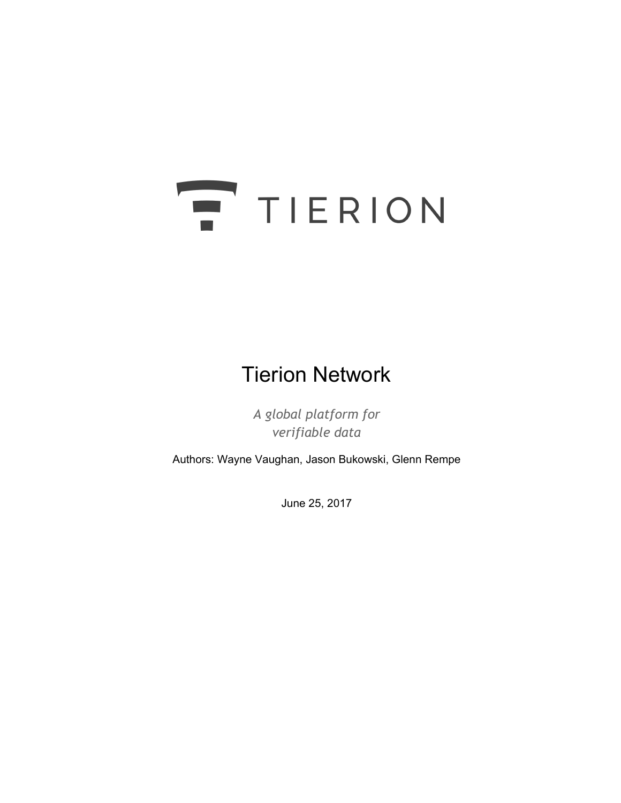# TIERION

# Tierion Network

*A global platform for verifiable data*

Authors: Wayne Vaughan, Jason Bukowski, Glenn Rempe

June 25, 2017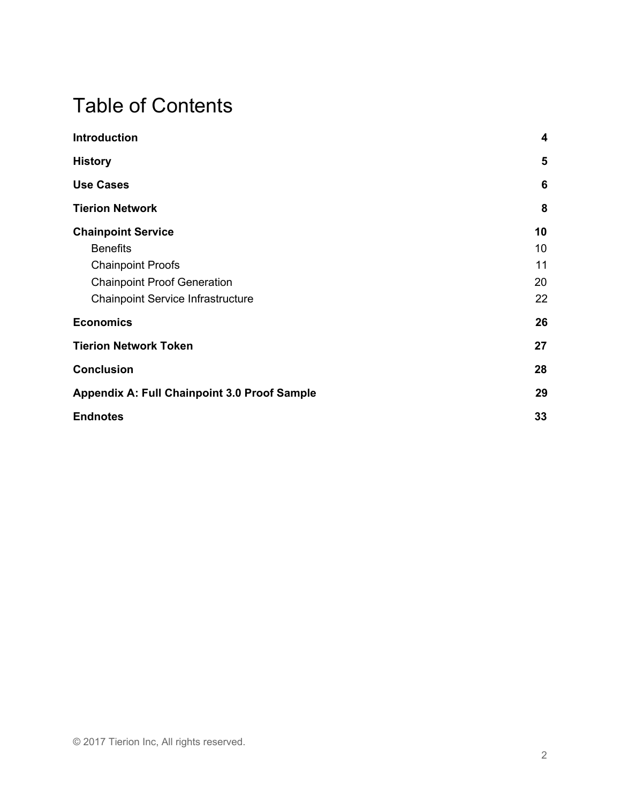# Table of Contents

| <b>Introduction</b>                                 | 4  |
|-----------------------------------------------------|----|
| <b>History</b>                                      | 5  |
| <b>Use Cases</b>                                    | 6  |
| <b>Tierion Network</b>                              | 8  |
| <b>Chainpoint Service</b>                           | 10 |
| <b>Benefits</b>                                     | 10 |
| <b>Chainpoint Proofs</b>                            | 11 |
| <b>Chainpoint Proof Generation</b>                  | 20 |
| <b>Chainpoint Service Infrastructure</b>            | 22 |
| <b>Economics</b>                                    | 26 |
| <b>Tierion Network Token</b>                        | 27 |
| <b>Conclusion</b>                                   | 28 |
| <b>Appendix A: Full Chainpoint 3.0 Proof Sample</b> | 29 |
| <b>Endnotes</b>                                     | 33 |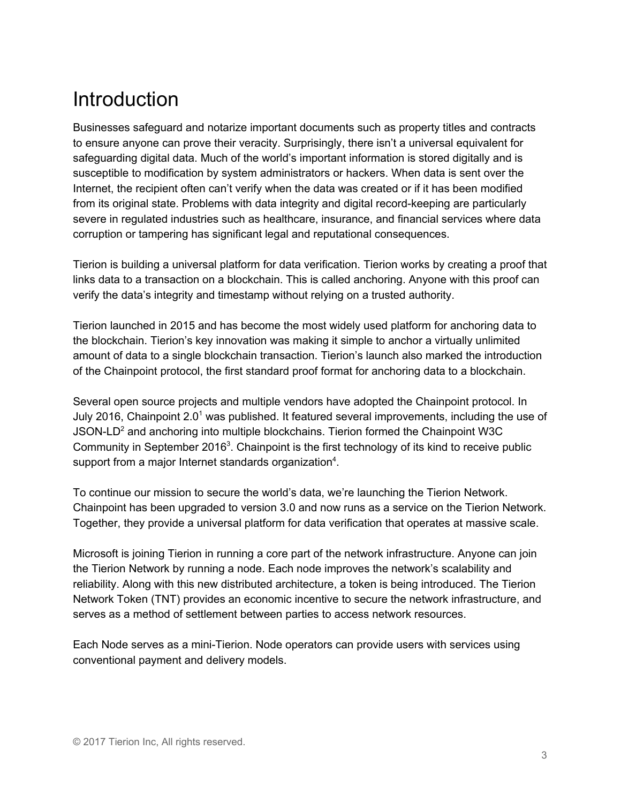# <span id="page-2-0"></span>**Introduction**

Businesses safeguard and notarize important documents such as property titles and contracts to ensure anyone can prove their veracity. Surprisingly, there isn't a universal equivalent for safeguarding digital data. Much of the world's important information is stored digitally and is susceptible to modification by system administrators or hackers. When data is sent over the Internet, the recipient often can't verify when the data was created or if it has been modified from its original state. Problems with data integrity and digital record-keeping are particularly severe in regulated industries such as healthcare, insurance, and financial services where data corruption or tampering has significant legal and reputational consequences.

Tierion is building a universal platform for data verification. Tierion works by creating a proof that links data to a transaction on a blockchain. This is called anchoring. Anyone with this proof can verify the data's integrity and timestamp without relying on a trusted authority.

Tierion launched in 2015 and has become the most widely used platform for anchoring data to the blockchain. Tierion's key innovation was making it simple to anchor a virtually unlimited amount of data to a single blockchain transaction. Tierion's launch also marked the introduction of the Chainpoint protocol, the first standard proof format for anchoring data to a blockchain.

Several open source projects and multiple vendors have adopted the Chainpoint protocol. In July 2016, Chainpoint 2.0<sup>1</sup> was published. It featured several improvements, including the use of JSON-LD<sup>2</sup> and anchoring into multiple blockchains. Tierion formed the Chainpoint W3C Community in September 2016<sup>3</sup>. Chainpoint is the first technology of its kind to receive public support from a major Internet standards organization<sup>4</sup>.

To continue our mission to secure the world's data, we're launching the Tierion Network. Chainpoint has been upgraded to version 3.0 and now runs as a service on the Tierion Network. Together, they provide a universal platform for data verification that operates at massive scale.

Microsoft is joining Tierion in running a core part of the network infrastructure. Anyone can join the Tierion Network by running a node. Each node improves the network's scalability and reliability. Along with this new distributed architecture, a token is being introduced. The Tierion Network Token (TNT) provides an economic incentive to secure the network infrastructure, and serves as a method of settlement between parties to access network resources.

Each Node serves as a mini-Tierion. Node operators can provide users with services using conventional payment and delivery models.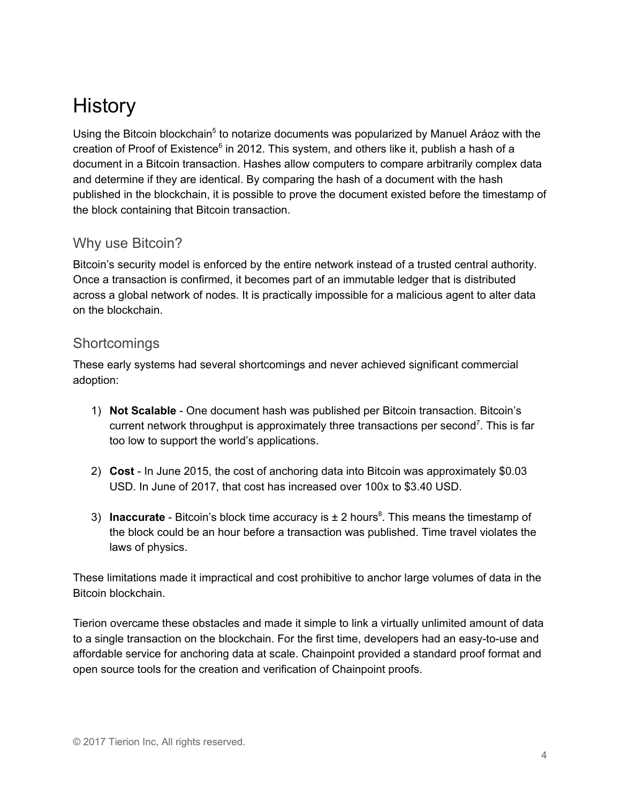# <span id="page-3-0"></span>**History**

Using the Bitcoin blockchain<sup>5</sup> to notarize documents was popularized by Manuel Aráoz with the creation of Proof of Existence<sup>6</sup> in 2012. This system, and others like it, publish a hash of a document in a Bitcoin transaction. Hashes allow computers to compare arbitrarily complex data and determine if they are identical. By comparing the hash of a document with the hash published in the blockchain, it is possible to prove the document existed before the timestamp of the block containing that Bitcoin transaction.

## Why use Bitcoin?

Bitcoin's security model is enforced by the entire network instead of a trusted central authority. Once a transaction is confirmed, it becomes part of an immutable ledger that is distributed across a global network of nodes. It is practically impossible for a malicious agent to alter data on the blockchain.

## **Shortcomings**

These early systems had several shortcomings and never achieved significant commercial adoption:

- 1) **Not Scalable** One document hash was published per Bitcoin transaction. Bitcoin's current network throughput is approximately three transactions per second<sup>7</sup>. This is far too low to support the world's applications.
- 2) **Cost** In June 2015, the cost of anchoring data into Bitcoin was approximately \$0.03 USD. In June of 2017, that cost has increased over 100x to \$3.40 USD.
- 3) **Inaccurate** Bitcoin's block time accuracy is ± 2 hours 8 . This means the timestamp of the block could be an hour before a transaction was published. Time travel violates the laws of physics.

These limitations made it impractical and cost prohibitive to anchor large volumes of data in the Bitcoin blockchain.

Tierion overcame these obstacles and made it simple to link a virtually unlimited amount of data to a single transaction on the blockchain. For the first time, developers had an easy-to-use and affordable service for anchoring data at scale. Chainpoint provided a standard proof format and open source tools for the creation and verification of Chainpoint proofs.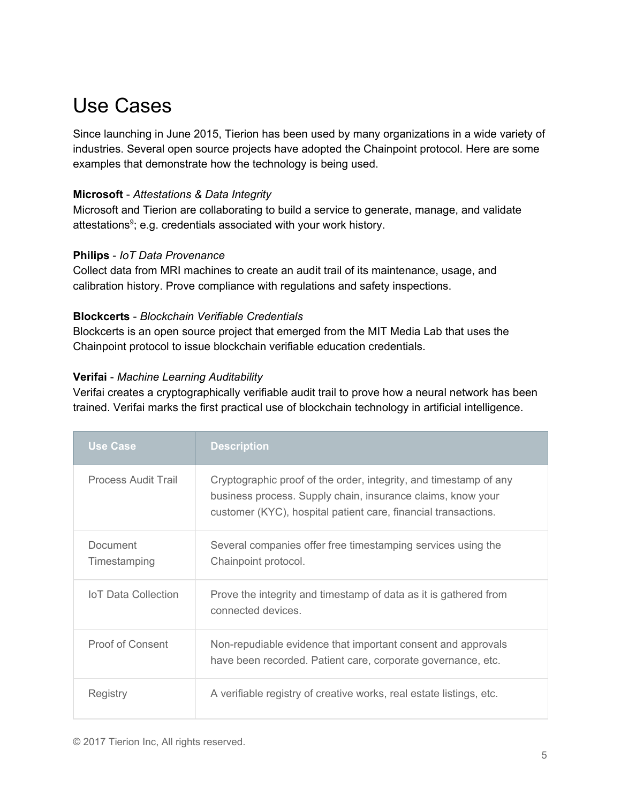# <span id="page-4-0"></span>Use Cases

Since launching in June 2015, Tierion has been used by many organizations in a wide variety of industries. Several open source projects have adopted the Chainpoint protocol. Here are some examples that demonstrate how the technology is being used.

#### **Microsoft** - *Attestations & Data Integrity*

Microsoft and Tierion are collaborating to build a service to generate, manage, and validate attestations<sup>9</sup>; e.g. credentials associated with your work history.

#### **Philips** - *IoT Data Provenance*

Collect data from MRI machines to create an audit trail of its maintenance, usage, and calibration history. Prove compliance with regulations and safety inspections.

#### **Blockcerts** - *Blockchain Verifiable Credentials*

Blockcerts is an open source project that emerged from the MIT Media Lab that uses the Chainpoint protocol to issue blockchain verifiable education credentials.

#### **Verifai** - *Machine Learning Auditability*

Verifai creates a cryptographically verifiable audit trail to prove how a neural network has been trained. Verifai marks the first practical use of blockchain technology in artificial intelligence.

| <b>Use Case</b>            | <b>Description</b>                                                                                                                                                                                 |
|----------------------------|----------------------------------------------------------------------------------------------------------------------------------------------------------------------------------------------------|
| Process Audit Trail        | Cryptographic proof of the order, integrity, and timestamp of any<br>business process. Supply chain, insurance claims, know your<br>customer (KYC), hospital patient care, financial transactions. |
| Document<br>Timestamping   | Several companies offer free timestamping services using the<br>Chainpoint protocol.                                                                                                               |
| <b>IoT Data Collection</b> | Prove the integrity and timestamp of data as it is gathered from<br>connected devices.                                                                                                             |
| <b>Proof of Consent</b>    | Non-repudiable evidence that important consent and approvals<br>have been recorded. Patient care, corporate governance, etc.                                                                       |
| Registry                   | A verifiable registry of creative works, real estate listings, etc.                                                                                                                                |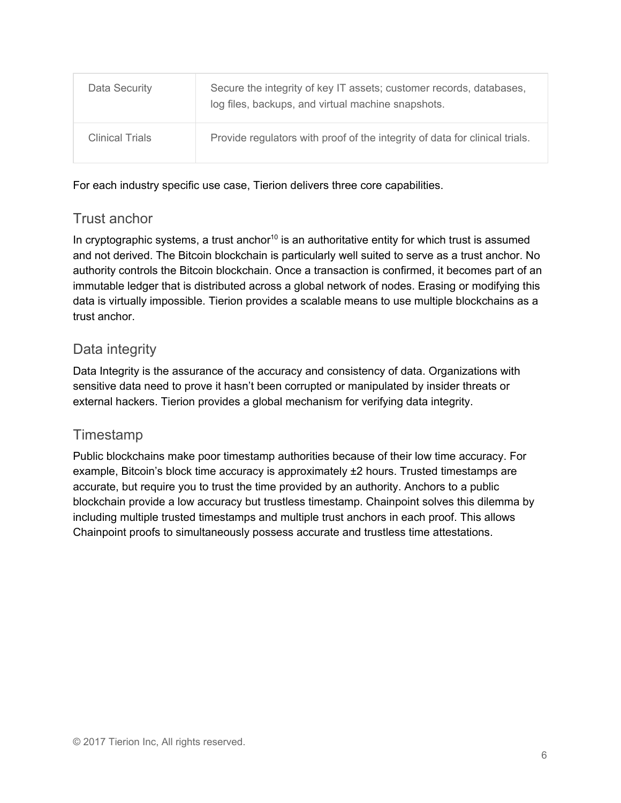| Data Security          | Secure the integrity of key IT assets; customer records, databases,<br>log files, backups, and virtual machine snapshots. |
|------------------------|---------------------------------------------------------------------------------------------------------------------------|
| <b>Clinical Trials</b> | Provide regulators with proof of the integrity of data for clinical trials.                                               |

For each industry specific use case, Tierion delivers three core capabilities.

# Trust anchor

In cryptographic systems, a trust anchor<sup>10</sup> is an authoritative entity for which trust is assumed and not derived. The Bitcoin blockchain is particularly well suited to serve as a trust anchor. No authority controls the Bitcoin blockchain. Once a transaction is confirmed, it becomes part of an immutable ledger that is distributed across a global network of nodes. Erasing or modifying this data is virtually impossible. Tierion provides a scalable means to use multiple blockchains as a trust anchor.

# Data integrity

Data Integrity is the assurance of the accuracy and consistency of data. Organizations with sensitive data need to prove it hasn't been corrupted or manipulated by insider threats or external hackers. Tierion provides a global mechanism for verifying data integrity.

# **Timestamp**

Public blockchains make poor timestamp authorities because of their low time accuracy. For example, Bitcoin's block time accuracy is approximately  $\pm 2$  hours. Trusted timestamps are accurate, but require you to trust the time provided by an authority. Anchors to a public blockchain provide a low accuracy but trustless timestamp. Chainpoint solves this dilemma by including multiple trusted timestamps and multiple trust anchors in each proof. This allows Chainpoint proofs to simultaneously possess accurate and trustless time attestations.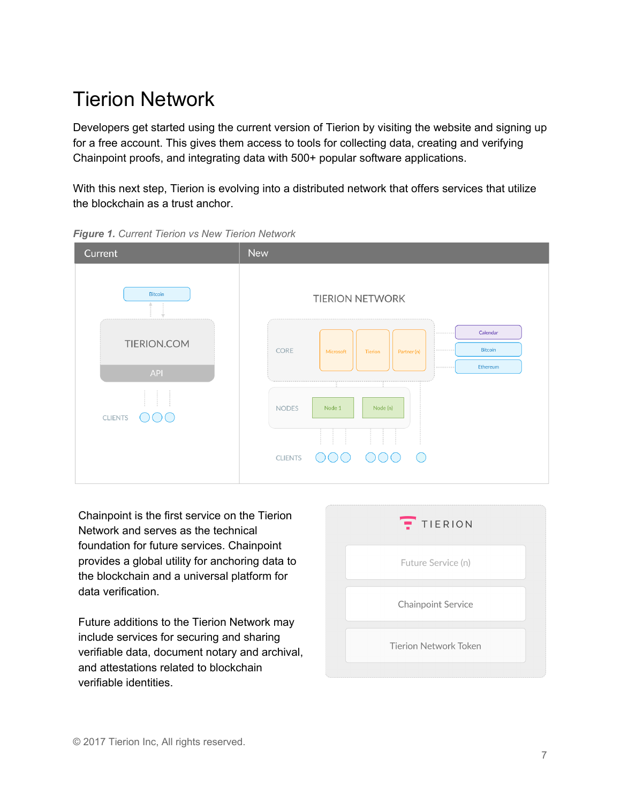# <span id="page-6-0"></span>Tierion Network

Developers get started using the current version of Tierion by visiting the website and signing up for a free account. This gives them access to tools for collecting data, creating and verifying Chainpoint proofs, and integrating data with 500+ popular software applications.

With this next step, Tierion is evolving into a distributed network that offers services that utilize the blockchain as a trust anchor.



*Figure 1. Current Tierion vs New Tierion Network*

Chainpoint is the first service on the Tierion Network and serves as the technical foundation for future services. Chainpoint provides a global utility for anchoring data to the blockchain and a universal platform for data verification.

Future additions to the Tierion Network may include services for securing and sharing verifiable data, document notary and archival, and attestations related to blockchain verifiable identities.

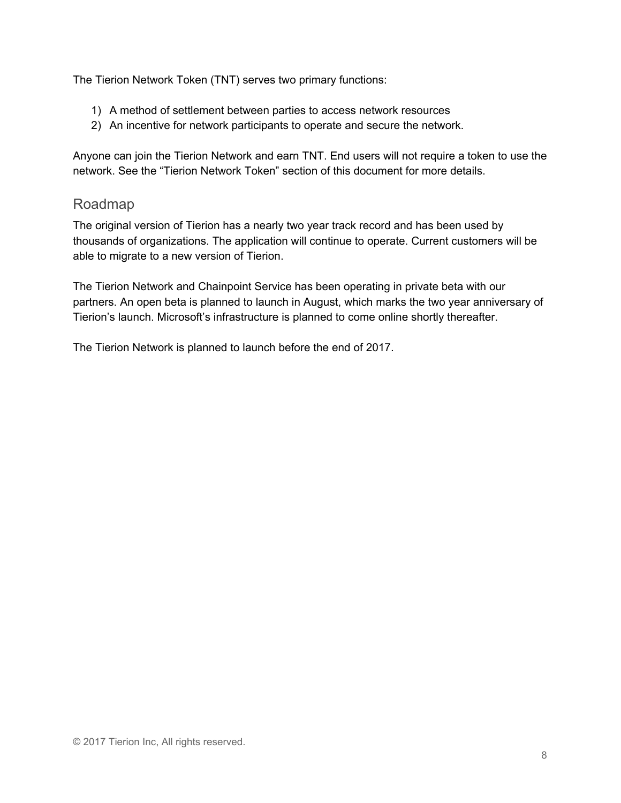The Tierion Network Token (TNT) serves two primary functions:

- 1) A method of settlement between parties to access network resources
- 2) An incentive for network participants to operate and secure the network.

Anyone can join the Tierion Network and earn TNT. End users will not require a token to use the network. See the "Tierion Network Token" section of this document for more details.

## Roadmap

The original version of Tierion has a nearly two year track record and has been used by thousands of organizations. The application will continue to operate. Current customers will be able to migrate to a new version of Tierion.

The Tierion Network and Chainpoint Service has been operating in private beta with our partners. An open beta is planned to launch in August, which marks the two year anniversary of Tierion's launch. Microsoft's infrastructure is planned to come online shortly thereafter.

The Tierion Network is planned to launch before the end of 2017.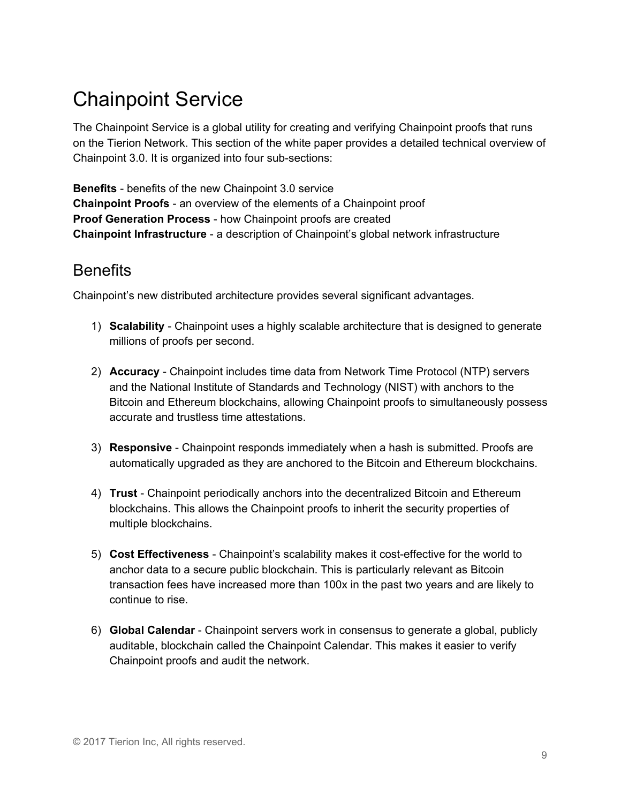# <span id="page-8-0"></span>Chainpoint Service

The Chainpoint Service is a global utility for creating and verifying Chainpoint proofs that runs on the Tierion Network. This section of the white paper provides a detailed technical overview of Chainpoint 3.0. It is organized into four sub-sections:

**Benefits** - benefits of the new Chainpoint 3.0 service **Chainpoint Proofs** - an overview of the elements of a Chainpoint proof **Proof Generation Process** - how Chainpoint proofs are created **Chainpoint Infrastructure** - a description of Chainpoint's global network infrastructure

# <span id="page-8-1"></span>**Benefits**

Chainpoint's new distributed architecture provides several significant advantages.

- 1) **Scalability** Chainpoint uses a highly scalable architecture that is designed to generate millions of proofs per second.
- 2) **Accuracy** Chainpoint includes time data from Network Time Protocol (NTP) servers and the National Institute of Standards and Technology (NIST) with anchors to the Bitcoin and Ethereum blockchains, allowing Chainpoint proofs to simultaneously possess accurate and trustless time attestations.
- 3) **Responsive** Chainpoint responds immediately when a hash is submitted. Proofs are automatically upgraded as they are anchored to the Bitcoin and Ethereum blockchains.
- 4) **Trust** Chainpoint periodically anchors into the decentralized Bitcoin and Ethereum blockchains. This allows the Chainpoint proofs to inherit the security properties of multiple blockchains.
- 5) **Cost Effectiveness** Chainpoint's scalability makes it cost-effective for the world to anchor data to a secure public blockchain. This is particularly relevant as Bitcoin transaction fees have increased more than 100x in the past two years and are likely to continue to rise.
- 6) **Global Calendar** Chainpoint servers work in consensus to generate a global, publicly auditable, blockchain called the Chainpoint Calendar. This makes it easier to verify Chainpoint proofs and audit the network.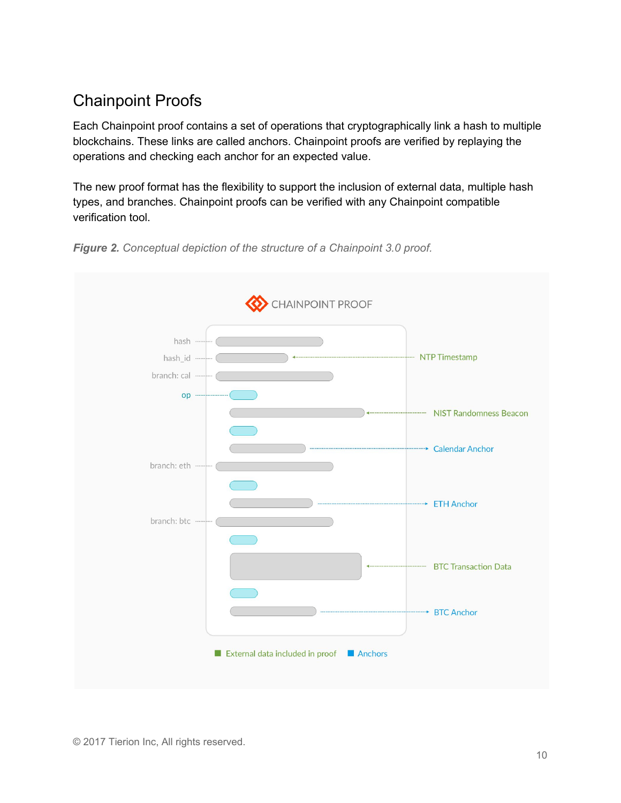# <span id="page-9-0"></span>Chainpoint Proofs

Each Chainpoint proof contains a set of operations that cryptographically link a hash to multiple blockchains. These links are called anchors. Chainpoint proofs are verified by replaying the operations and checking each anchor for an expected value.

The new proof format has the flexibility to support the inclusion of external data, multiple hash types, and branches. Chainpoint proofs can be verified with any Chainpoint compatible verification tool.



*Figure 2. Conceptual depiction of the structure of a Chainpoint 3.0 proof.*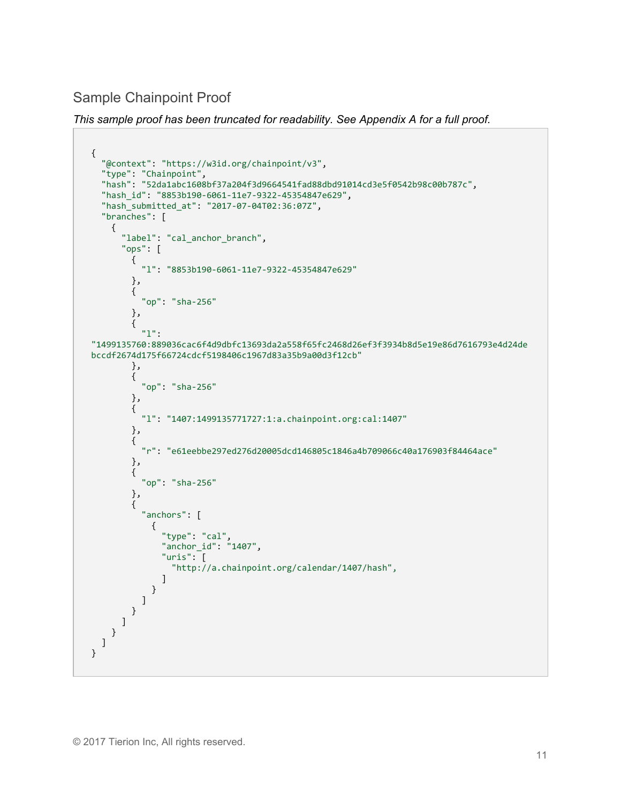Sample Chainpoint Proof

*This sample proof has been truncated for readability. See Appendix A for a full proof.*

```
{
   "@context": "https://w3id.org/chainpoint/v3",
   "type": "Chainpoint",
   "hash": "52da1abc1608bf37a204f3d9664541fad88dbd91014cd3e5f0542b98c00b787c",
   "hash_id": "8853b190-6061-11e7-9322-45354847e629",
   "hash_submitted_at": "2017-07-04T02:36:07Z",
   "branches": [
     {
       "label": "cal_anchor_branch",
       "ops": [
         {
           "l": "8853b190-6061-11e7-9322-45354847e629"
         },
         {
           "op": "sha-256"
         },
         {
           "l":
"1499135760:889036cac6f4d9dbfc13693da2a558f65fc2468d26ef3f3934b8d5e19e86d7616793e4d24de
bccdf2674d175f66724cdcf5198406c1967d83a35b9a00d3f12cb"
         },
         {
           "op": "sha-256"
         },
         {
           "l": "1407:1499135771727:1:a.chainpoint.org:cal:1407"
         },
         {
           "r": "e61eebbe297ed276d20005dcd146805c1846a4b709066c40a176903f84464ace"
         },
         {
           "op": "sha-256"
         },
         {
           "anchors": [
             {
               "type": "cal",
               "anchor_id": "1407",
               "uris": [
                 "http://a.chainpoint.org/calendar/1407/hash",
 ]
 }
 ]
 }
\blacksquare }
  ]
}
```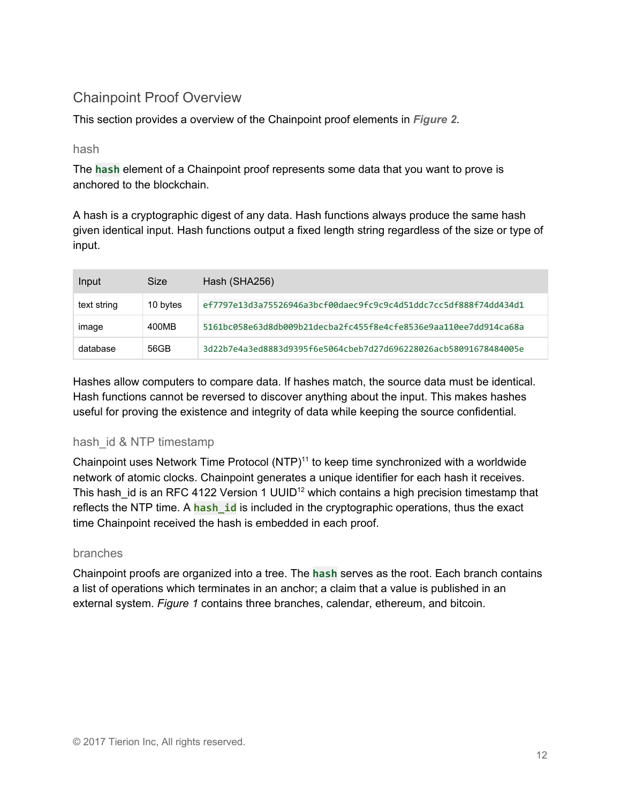# Chainpoint Proof Overview

This section provides a overview of the Chainpoint proof elements in *Figure 2*.

#### hash

The **hash** element of a Chainpoint proof represents some data that you want to prove is anchored to the blockchain.

A hash is a cryptographic digest of any data. Hash functions always produce the same hash given identical input. Hash functions output a fixed length string regardless of the size or type of input.

| Input       | Size     | Hash (SHA256)                                                    |
|-------------|----------|------------------------------------------------------------------|
| text string | 10 bytes | ef7797e13d3a75526946a3bcf00daec9fc9c9c4d51ddc7cc5df888f74dd434d1 |
| image       | 400MB    | 5161bc058e63d8db009b21decba2fc455f8e4cfe8536e9aa110ee7dd914ca68a |
| database    | 56GB     | 3d22b7e4a3ed8883d9395f6e5064cbeb7d27d696228026acb58091678484005e |

Hashes allow computers to compare data. If hashes match, the source data must be identical. Hash functions cannot be reversed to discover anything about the input. This makes hashes useful for proving the existence and integrity of data while keeping the source confidential.

## hash id & NTP timestamp

Chainpoint uses Network Time Protocol  $(NTP)^{11}$  to keep time synchronized with a worldwide network of atomic clocks. Chainpoint generates a unique identifier for each hash it receives. This hash\_id is an RFC 4122 Version 1 UUID<sup>12</sup> which contains a high precision timestamp that reflects the NTP time. A **hash id** is included in the cryptographic operations, thus the exact time Chainpoint received the hash is embedded in each proof.

#### branches

Chainpoint proofs are organized into a tree. The **hash** serves as the root. Each branch contains a list of operations which terminates in an anchor; a claim that a value is published in an external system. *Figure 1* contains three branches, calendar, ethereum, and bitcoin.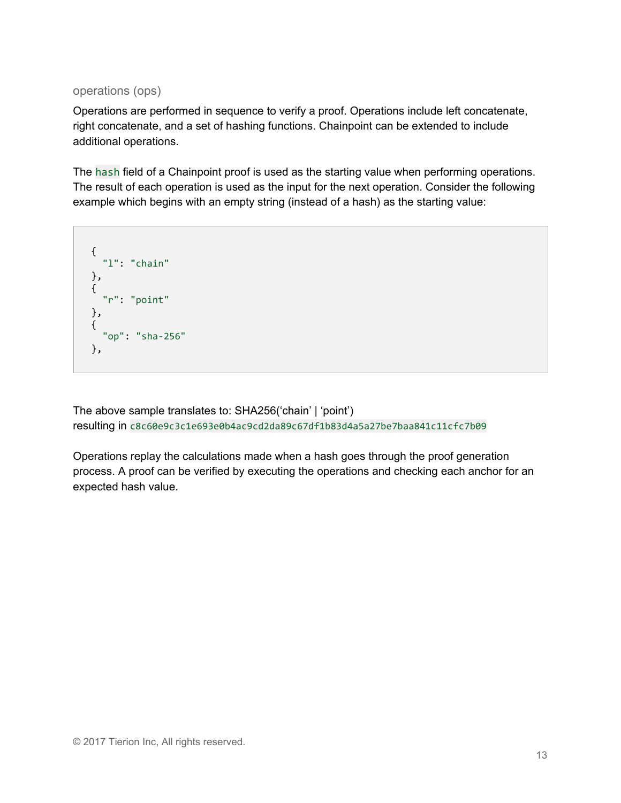operations (ops)

Operations are performed in sequence to verify a proof. Operations include left concatenate, right concatenate, and a set of hashing functions. Chainpoint can be extended to include additional operations.

The hash field of a Chainpoint proof is used as the starting value when performing operations. The result of each operation is used as the input for the next operation. Consider the following example which begins with an empty string (instead of a hash) as the starting value:

```
{
  "l": "chain"
},
{
  "r": "point"
},
{
  "op": "sha-256"
},
```
The above sample translates to: SHA256('chain' | 'point') resulting in c8c60e9c3c1e693e0b4ac9cd2da89c67df1b83d4a5a27be7baa841c11cfc7b09

Operations replay the calculations made when a hash goes through the proof generation process. A proof can be verified by executing the operations and checking each anchor for an expected hash value.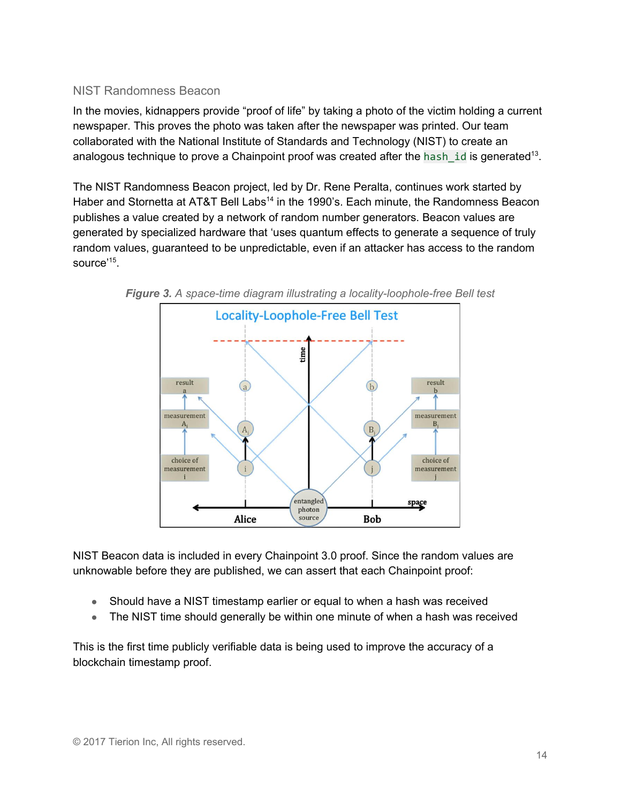#### NIST Randomness Beacon

In the movies, kidnappers provide "proof of life" by taking a photo of the victim holding a current newspaper. This proves the photo was taken after the newspaper was printed. Our team collaborated with the National Institute of Standards and Technology (NIST) to create an analogous technique to prove a Chainpoint proof was created after the hash\_id is generated<sup>13</sup>.

The NIST Randomness Beacon project, led by Dr. Rene Peralta, continues work started by Haber and Stornetta at AT&T Bell Labs<sup>14</sup> in the 1990's. Each minute, the Randomness Beacon publishes a value created by a network of random number generators. Beacon values are generated by specialized hardware that 'uses quantum effects to generate a sequence of truly random values, guaranteed to be unpredictable, even if an attacker has access to the random source' 15 .





NIST Beacon data is included in every Chainpoint 3.0 proof. Since the random values are unknowable before they are published, we can assert that each Chainpoint proof:

- Should have a NIST timestamp earlier or equal to when a hash was received
- The NIST time should generally be within one minute of when a hash was received

This is the first time publicly verifiable data is being used to improve the accuracy of a blockchain timestamp proof.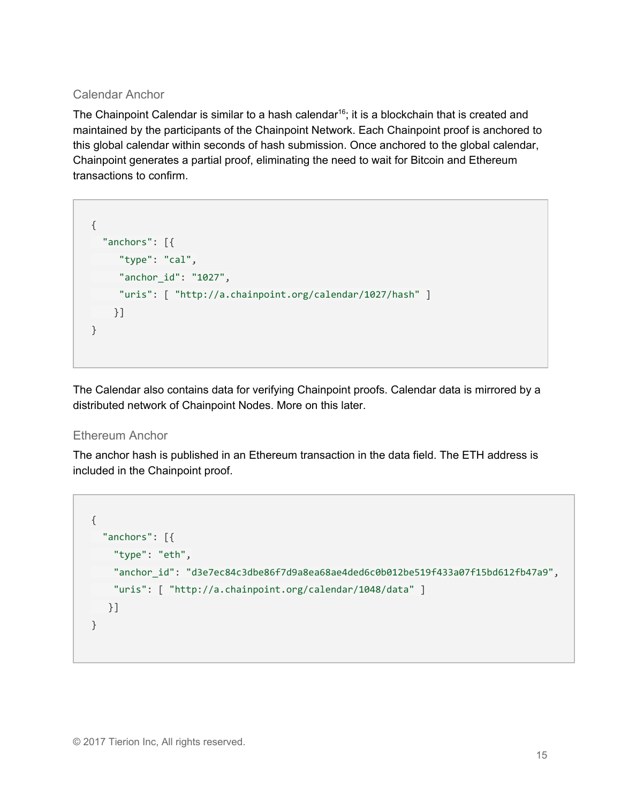## Calendar Anchor

The Chainpoint Calendar is similar to a hash calendar<sup>16</sup>; it is a blockchain that is created and maintained by the participants of the Chainpoint Network. Each Chainpoint proof is anchored to this global calendar within seconds of hash submission. Once anchored to the global calendar, Chainpoint generates a partial proof, eliminating the need to wait for Bitcoin and Ethereum transactions to confirm.

```
{
  "anchors": [{
     "type": "cal",
     "anchor_id": "1027",
     "uris": [ "http://a.chainpoint.org/calendar/1027/hash" ]
   }]
}
```
The Calendar also contains data for verifying Chainpoint proofs. Calendar data is mirrored by a distributed network of Chainpoint Nodes. More on this later.

## Ethereum Anchor

The anchor hash is published in an Ethereum transaction in the data field. The ETH address is included in the Chainpoint proof.

```
{
  "anchors": [{
    "type": "eth",
    "anchor_id": "d3e7ec84c3dbe86f7d9a8ea68ae4ded6c0b012be519f433a07f15bd612fb47a9",
    "uris": [ "http://a.chainpoint.org/calendar/1048/data" ]
   }]
}
```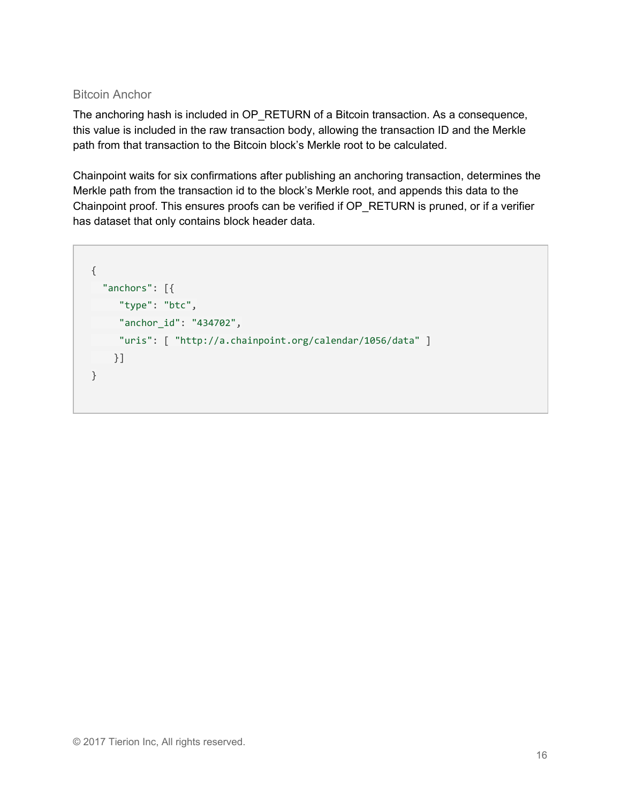#### Bitcoin Anchor

The anchoring hash is included in OP\_RETURN of a Bitcoin transaction. As a consequence, this value is included in the raw transaction body, allowing the transaction ID and the Merkle path from that transaction to the Bitcoin block's Merkle root to be calculated.

Chainpoint waits for six confirmations after publishing an anchoring transaction, determines the Merkle path from the transaction id to the block's Merkle root, and appends this data to the Chainpoint proof. This ensures proofs can be verified if OP\_RETURN is pruned, or if a verifier has dataset that only contains block header data.

```
{
  "anchors": [{
     "type": "btc",
     "anchor_id": "434702",
     "uris": [ "http://a.chainpoint.org/calendar/1056/data" ]
   }]
}
```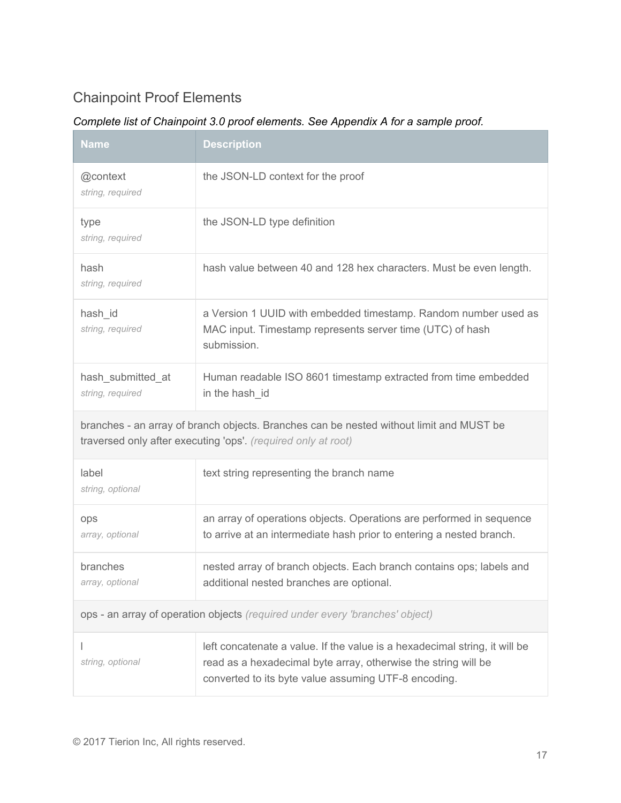# Chainpoint Proof Elements

## *Complete list of Chainpoint 3.0 proof elements. See Appendix A for a sample proof.*

| <b>Name</b>                           | <b>Description</b>                                                                                                                                                                                   |  |
|---------------------------------------|------------------------------------------------------------------------------------------------------------------------------------------------------------------------------------------------------|--|
| @context<br>string, required          | the JSON-LD context for the proof                                                                                                                                                                    |  |
| type<br>string, required              | the JSON-LD type definition                                                                                                                                                                          |  |
| hash<br>string, required              | hash value between 40 and 128 hex characters. Must be even length.                                                                                                                                   |  |
| hash_id<br>string, required           | a Version 1 UUID with embedded timestamp. Random number used as<br>MAC input. Timestamp represents server time (UTC) of hash<br>submission.                                                          |  |
| hash_submitted_at<br>string, required | Human readable ISO 8601 timestamp extracted from time embedded<br>in the hash_id                                                                                                                     |  |
|                                       | branches - an array of branch objects. Branches can be nested without limit and MUST be<br>traversed only after executing 'ops'. (required only at root)                                             |  |
| label<br>string, optional             | text string representing the branch name                                                                                                                                                             |  |
| ops<br>array, optional                | an array of operations objects. Operations are performed in sequence<br>to arrive at an intermediate hash prior to entering a nested branch.                                                         |  |
| branches<br>array, optional           | nested array of branch objects. Each branch contains ops; labels and<br>additional nested branches are optional.                                                                                     |  |
|                                       | ops - an array of operation objects (required under every 'branches' object)                                                                                                                         |  |
| string, optional                      | left concatenate a value. If the value is a hexadecimal string, it will be<br>read as a hexadecimal byte array, otherwise the string will be<br>converted to its byte value assuming UTF-8 encoding. |  |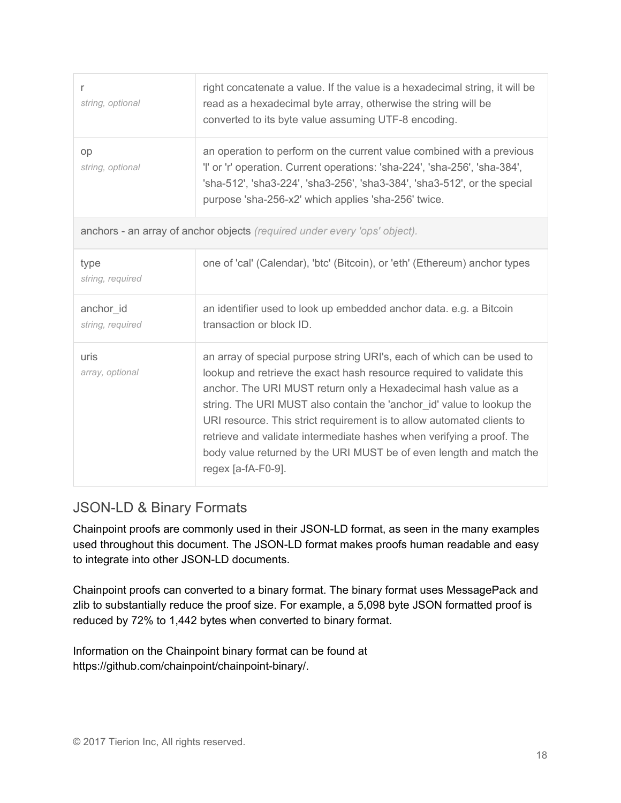| r<br>string, optional         | right concatenate a value. If the value is a hexadecimal string, it will be<br>read as a hexadecimal byte array, otherwise the string will be<br>converted to its byte value assuming UTF-8 encoding.                                                                                                                                                                                                                                                                                                                                      |
|-------------------------------|--------------------------------------------------------------------------------------------------------------------------------------------------------------------------------------------------------------------------------------------------------------------------------------------------------------------------------------------------------------------------------------------------------------------------------------------------------------------------------------------------------------------------------------------|
| op<br>string, optional        | an operation to perform on the current value combined with a previous<br>'l' or 'r' operation. Current operations: 'sha-224', 'sha-256', 'sha-384',<br>'sha-512', 'sha3-224', 'sha3-256', 'sha3-384', 'sha3-512', or the special<br>purpose 'sha-256-x2' which applies 'sha-256' twice.                                                                                                                                                                                                                                                    |
|                               | anchors - an array of anchor objects (required under every 'ops' object).                                                                                                                                                                                                                                                                                                                                                                                                                                                                  |
| type<br>string, required      | one of 'cal' (Calendar), 'btc' (Bitcoin), or 'eth' (Ethereum) anchor types                                                                                                                                                                                                                                                                                                                                                                                                                                                                 |
| anchor id<br>string, required | an identifier used to look up embedded anchor data. e.g. a Bitcoin<br>transaction or block ID.                                                                                                                                                                                                                                                                                                                                                                                                                                             |
| uris<br>array, optional       | an array of special purpose string URI's, each of which can be used to<br>lookup and retrieve the exact hash resource required to validate this<br>anchor. The URI MUST return only a Hexadecimal hash value as a<br>string. The URI MUST also contain the 'anchor_id' value to lookup the<br>URI resource. This strict requirement is to allow automated clients to<br>retrieve and validate intermediate hashes when verifying a proof. The<br>body value returned by the URI MUST be of even length and match the<br>regex [a-fA-F0-9]. |

# JSON-LD & Binary Formats

Chainpoint proofs are commonly used in their JSON-LD format, as seen in the many examples used throughout this document. The JSON-LD format makes proofs human readable and easy to integrate into other JSON-LD documents.

Chainpoint proofs can converted to a binary format. The binary format uses MessagePack and zlib to substantially reduce the proof size. For example, a 5,098 byte JSON formatted proof is reduced by 72% to 1,442 bytes when converted to binary format.

Information on the Chainpoint binary format can be found at https://github.com/chainpoint/chainpoint-binary/.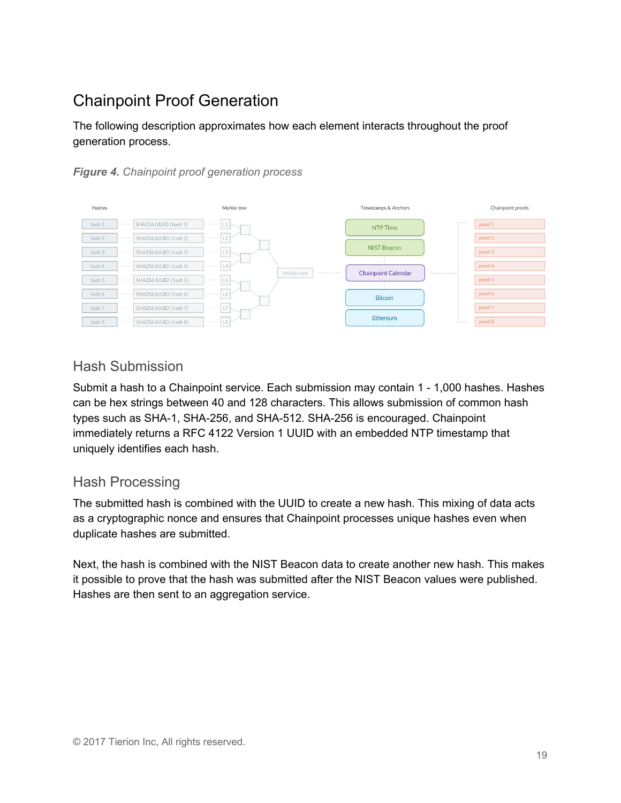# <span id="page-18-0"></span>Chainpoint Proof Generation

The following description approximates how each element interacts throughout the proof generation process.





## Hash Submission

Submit a hash to a Chainpoint service. Each submission may contain 1 - 1,000 hashes. Hashes can be hex strings between 40 and 128 characters. This allows submission of common hash types such as SHA-1, SHA-256, and SHA-512. SHA-256 is encouraged. Chainpoint immediately returns a RFC 4122 Version 1 UUID with an embedded NTP timestamp that uniquely identifies each hash.

## Hash Processing

The submitted hash is combined with the UUID to create a new hash. This mixing of data acts as a cryptographic nonce and ensures that Chainpoint processes unique hashes even when duplicate hashes are submitted.

Next, the hash is combined with the NIST Beacon data to create another new hash. This makes it possible to prove that the hash was submitted after the NIST Beacon values were published. Hashes are then sent to an aggregation service.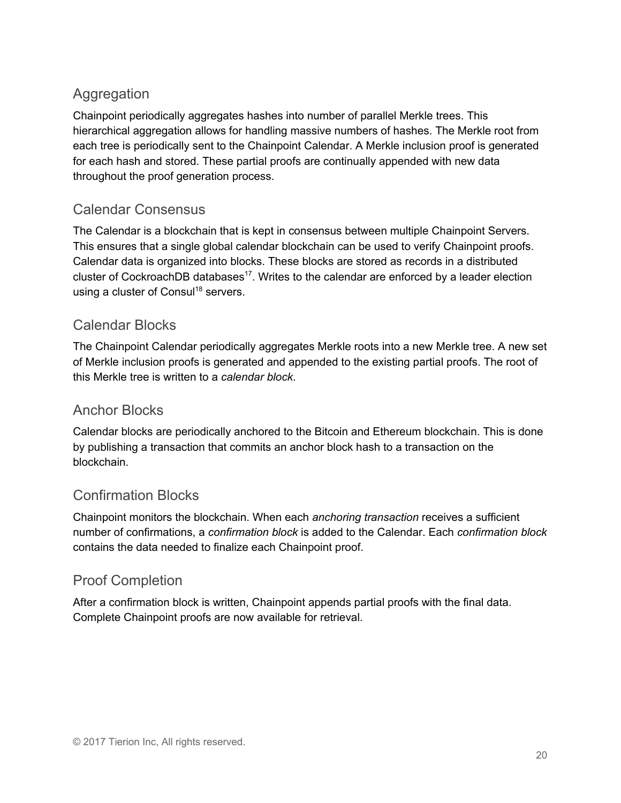# **Aggregation**

Chainpoint periodically aggregates hashes into number of parallel Merkle trees. This hierarchical aggregation allows for handling massive numbers of hashes. The Merkle root from each tree is periodically sent to the Chainpoint Calendar. A Merkle inclusion proof is generated for each hash and stored. These partial proofs are continually appended with new data throughout the proof generation process.

# Calendar Consensus

The Calendar is a blockchain that is kept in consensus between multiple Chainpoint Servers. This ensures that a single global calendar blockchain can be used to verify Chainpoint proofs. Calendar data is organized into blocks. These blocks are stored as records in a distributed cluster of CockroachDB databases<sup>17</sup>. Writes to the calendar are enforced by a leader election using a cluster of Consul<sup>18</sup> servers.

# Calendar Blocks

The Chainpoint Calendar periodically aggregates Merkle roots into a new Merkle tree. A new set of Merkle inclusion proofs is generated and appended to the existing partial proofs. The root of this Merkle tree is written to a *calendar block*.

# Anchor Blocks

Calendar blocks are periodically anchored to the Bitcoin and Ethereum blockchain. This is done by publishing a transaction that commits an anchor block hash to a transaction on the blockchain.

# Confirmation Blocks

Chainpoint monitors the blockchain. When each *anchoring transaction* receives a sufficient number of confirmations, a *confirmation block* is added to the Calendar. Each *confirmation block* contains the data needed to finalize each Chainpoint proof.

# Proof Completion

After a confirmation block is written, Chainpoint appends partial proofs with the final data. Complete Chainpoint proofs are now available for retrieval.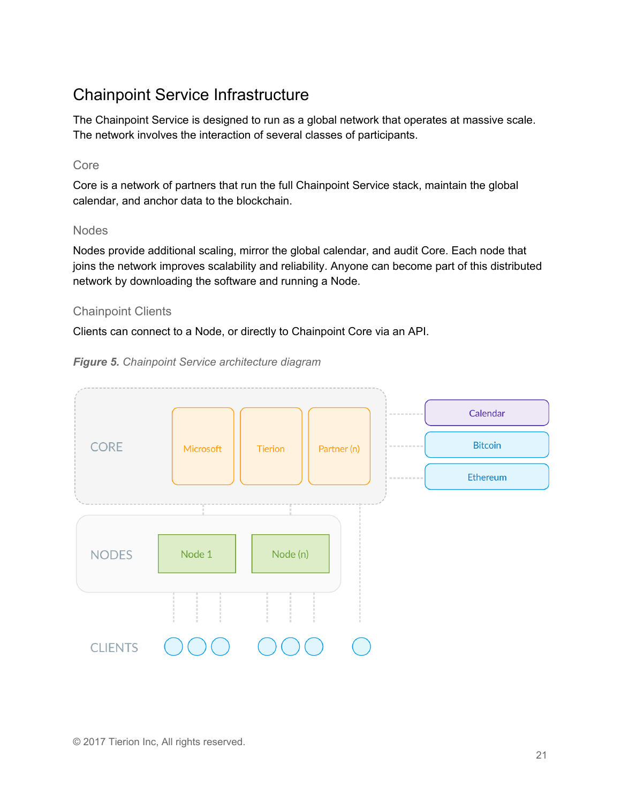# <span id="page-20-0"></span>Chainpoint Service Infrastructure

The Chainpoint Service is designed to run as a global network that operates at massive scale. The network involves the interaction of several classes of participants.

#### Core

Core is a network of partners that run the full Chainpoint Service stack, maintain the global calendar, and anchor data to the blockchain.

#### Nodes

Nodes provide additional scaling, mirror the global calendar, and audit Core. Each node that joins the network improves scalability and reliability. Anyone can become part of this distributed network by downloading the software and running a Node.

## Chainpoint Clients

Clients can connect to a Node, or directly to Chainpoint Core via an API.



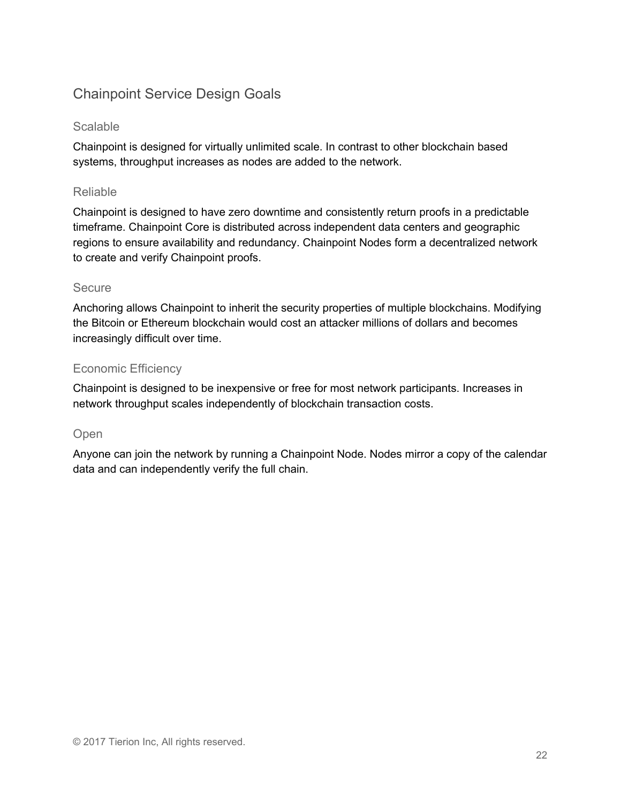# Chainpoint Service Design Goals

#### Scalable

Chainpoint is designed for virtually unlimited scale. In contrast to other blockchain based systems, throughput increases as nodes are added to the network.

#### Reliable

Chainpoint is designed to have zero downtime and consistently return proofs in a predictable timeframe. Chainpoint Core is distributed across independent data centers and geographic regions to ensure availability and redundancy. Chainpoint Nodes form a decentralized network to create and verify Chainpoint proofs.

#### Secure

Anchoring allows Chainpoint to inherit the security properties of multiple blockchains. Modifying the Bitcoin or Ethereum blockchain would cost an attacker millions of dollars and becomes increasingly difficult over time.

## Economic Efficiency

Chainpoint is designed to be inexpensive or free for most network participants. Increases in network throughput scales independently of blockchain transaction costs.

## Open

Anyone can join the network by running a Chainpoint Node. Nodes mirror a copy of the calendar data and can independently verify the full chain.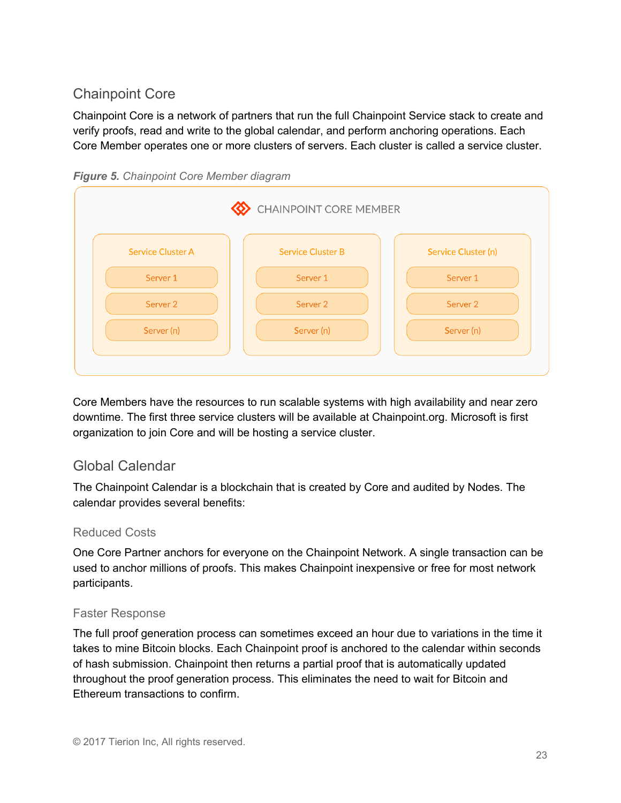# Chainpoint Core

Chainpoint Core is a network of partners that run the full Chainpoint Service stack to create and verify proofs, read and write to the global calendar, and perform anchoring operations. Each Core Member operates one or more clusters of servers. Each cluster is called a service cluster.



| CHAINPOINT CORE MEMBER   |                          |                     |
|--------------------------|--------------------------|---------------------|
| <b>Service Cluster A</b> | <b>Service Cluster B</b> | Service Cluster (n) |
| Server 1                 | Server 1                 | Server 1            |
| Server <sub>2</sub>      | Server <sub>2</sub>      | Server <sub>2</sub> |
| Server (n)               | Server (n)               | Server (n)          |
|                          |                          |                     |

Core Members have the resources to run scalable systems with high availability and near zero downtime. The first three service clusters will be available at Chainpoint.org. Microsoft is first organization to join Core and will be hosting a service cluster.

# Global Calendar

The Chainpoint Calendar is a blockchain that is created by Core and audited by Nodes. The calendar provides several benefits:

## Reduced Costs

One Core Partner anchors for everyone on the Chainpoint Network. A single transaction can be used to anchor millions of proofs. This makes Chainpoint inexpensive or free for most network participants.

## Faster Response

The full proof generation process can sometimes exceed an hour due to variations in the time it takes to mine Bitcoin blocks. Each Chainpoint proof is anchored to the calendar within seconds of hash submission. Chainpoint then returns a partial proof that is automatically updated throughout the proof generation process. This eliminates the need to wait for Bitcoin and Ethereum transactions to confirm.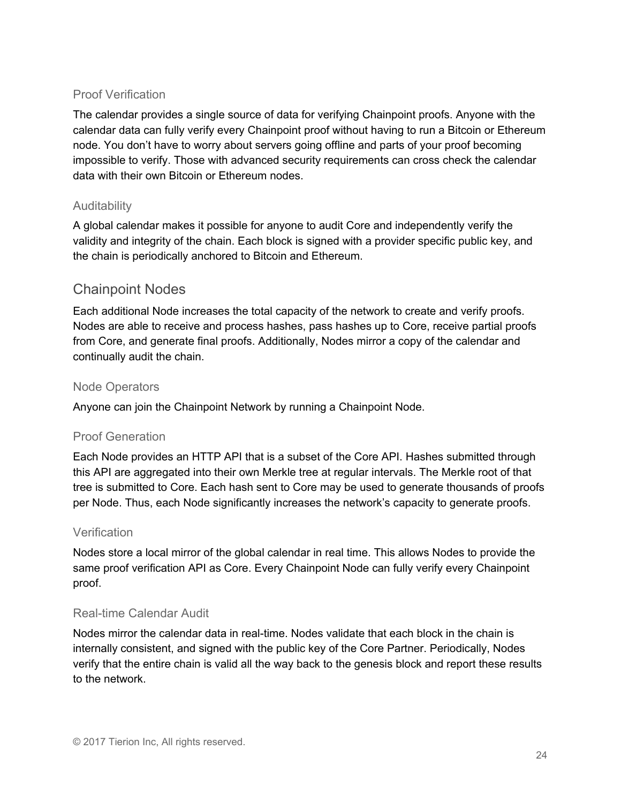#### Proof Verification

The calendar provides a single source of data for verifying Chainpoint proofs. Anyone with the calendar data can fully verify every Chainpoint proof without having to run a Bitcoin or Ethereum node. You don't have to worry about servers going offline and parts of your proof becoming impossible to verify. Those with advanced security requirements can cross check the calendar data with their own Bitcoin or Ethereum nodes.

## Auditability

A global calendar makes it possible for anyone to audit Core and independently verify the validity and integrity of the chain. Each block is signed with a provider specific public key, and the chain is periodically anchored to Bitcoin and Ethereum.

## Chainpoint Nodes

Each additional Node increases the total capacity of the network to create and verify proofs. Nodes are able to receive and process hashes, pass hashes up to Core, receive partial proofs from Core, and generate final proofs. Additionally, Nodes mirror a copy of the calendar and continually audit the chain.

#### Node Operators

Anyone can join the Chainpoint Network by running a Chainpoint Node.

#### Proof Generation

Each Node provides an HTTP API that is a subset of the Core API. Hashes submitted through this API are aggregated into their own Merkle tree at regular intervals. The Merkle root of that tree is submitted to Core. Each hash sent to Core may be used to generate thousands of proofs per Node. Thus, each Node significantly increases the network's capacity to generate proofs.

#### **Verification**

Nodes store a local mirror of the global calendar in real time. This allows Nodes to provide the same proof verification API as Core. Every Chainpoint Node can fully verify every Chainpoint proof.

#### Real-time Calendar Audit

Nodes mirror the calendar data in real-time. Nodes validate that each block in the chain is internally consistent, and signed with the public key of the Core Partner. Periodically, Nodes verify that the entire chain is valid all the way back to the genesis block and report these results to the network.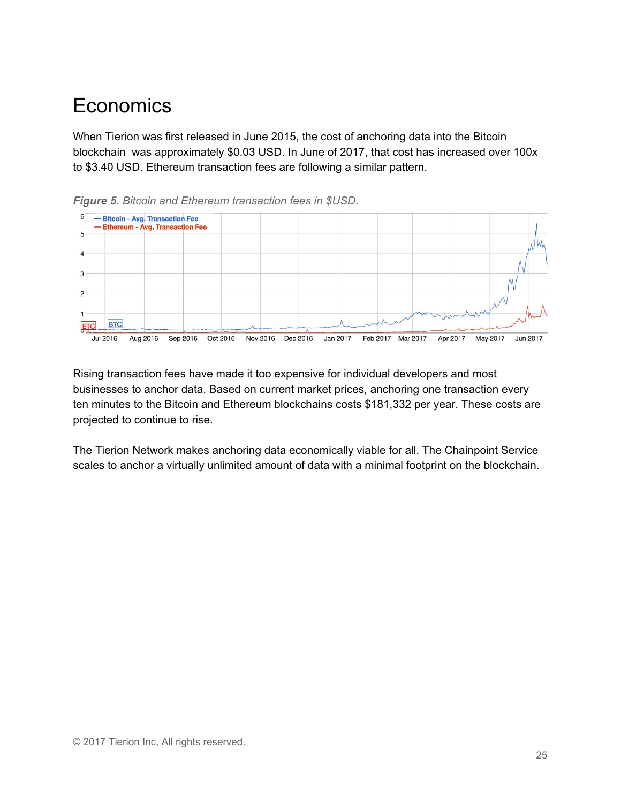# <span id="page-24-0"></span>**Economics**

When Tierion was first released in June 2015, the cost of anchoring data into the Bitcoin blockchain was approximately \$0.03 USD. In June of 2017, that cost has increased over 100x to \$3.40 USD. Ethereum transaction fees are following a similar pattern.



*Figure 5. Bitcoin and Ethereum transaction fees in \$USD.*

Rising transaction fees have made it too expensive for individual developers and most businesses to anchor data. Based on current market prices, anchoring one transaction every ten minutes to the Bitcoin and Ethereum blockchains costs \$181,332 per year. These costs are projected to continue to rise.

The Tierion Network makes anchoring data economically viable for all. The Chainpoint Service scales to anchor a virtually unlimited amount of data with a minimal footprint on the blockchain.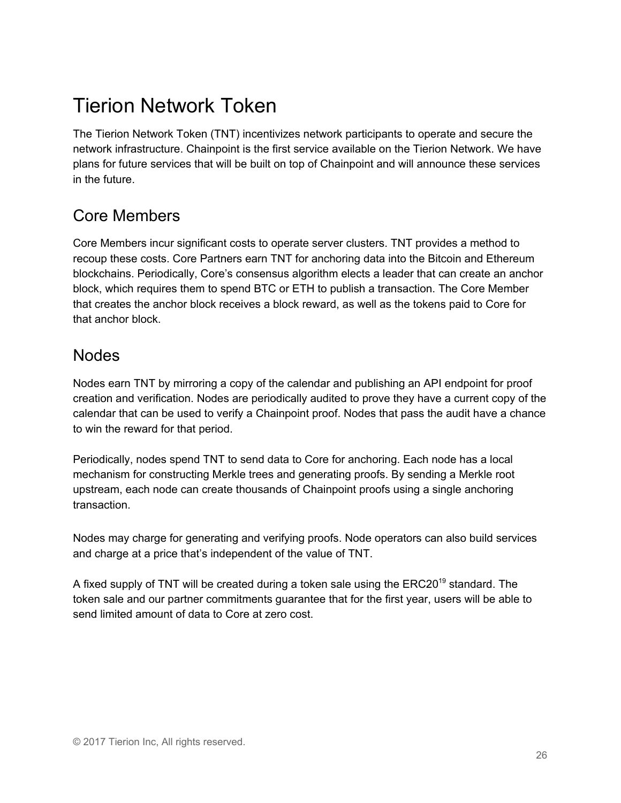# <span id="page-25-0"></span>Tierion Network Token

The Tierion Network Token (TNT) incentivizes network participants to operate and secure the network infrastructure. Chainpoint is the first service available on the Tierion Network. We have plans for future services that will be built on top of Chainpoint and will announce these services in the future.

# Core Members

Core Members incur significant costs to operate server clusters. TNT provides a method to recoup these costs. Core Partners earn TNT for anchoring data into the Bitcoin and Ethereum blockchains. Periodically, Core's consensus algorithm elects a leader that can create an anchor block, which requires them to spend BTC or ETH to publish a transaction. The Core Member that creates the anchor block receives a block reward, as well as the tokens paid to Core for that anchor block.

# Nodes

Nodes earn TNT by mirroring a copy of the calendar and publishing an API endpoint for proof creation and verification. Nodes are periodically audited to prove they have a current copy of the calendar that can be used to verify a Chainpoint proof. Nodes that pass the audit have a chance to win the reward for that period.

Periodically, nodes spend TNT to send data to Core for anchoring. Each node has a local mechanism for constructing Merkle trees and generating proofs. By sending a Merkle root upstream, each node can create thousands of Chainpoint proofs using a single anchoring transaction.

Nodes may charge for generating and verifying proofs. Node operators can also build services and charge at a price that's independent of the value of TNT.

A fixed supply of TNT will be created during a token sale using the ERC20<sup>19</sup> standard. The token sale and our partner commitments guarantee that for the first year, users will be able to send limited amount of data to Core at zero cost.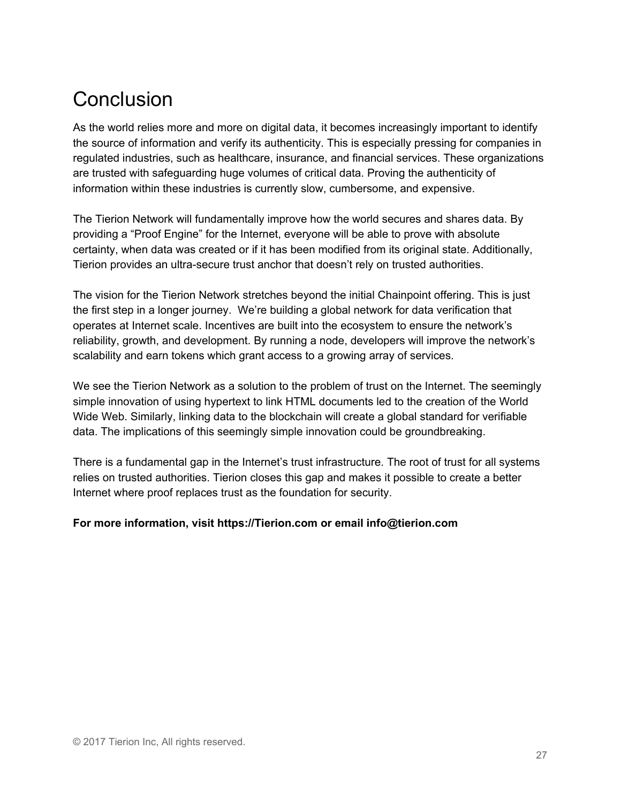# <span id="page-26-0"></span>**Conclusion**

As the world relies more and more on digital data, it becomes increasingly important to identify the source of information and verify its authenticity. This is especially pressing for companies in regulated industries, such as healthcare, insurance, and financial services. These organizations are trusted with safeguarding huge volumes of critical data. Proving the authenticity of information within these industries is currently slow, cumbersome, and expensive.

The Tierion Network will fundamentally improve how the world secures and shares data. By providing a "Proof Engine" for the Internet, everyone will be able to prove with absolute certainty, when data was created or if it has been modified from its original state. Additionally, Tierion provides an ultra-secure trust anchor that doesn't rely on trusted authorities.

The vision for the Tierion Network stretches beyond the initial Chainpoint offering. This is just the first step in a longer journey. We're building a global network for data verification that operates at Internet scale. Incentives are built into the ecosystem to ensure the network's reliability, growth, and development. By running a node, developers will improve the network's scalability and earn tokens which grant access to a growing array of services.

We see the Tierion Network as a solution to the problem of trust on the Internet. The seemingly simple innovation of using hypertext to link HTML documents led to the creation of the World Wide Web. Similarly, linking data to the blockchain will create a global standard for verifiable data. The implications of this seemingly simple innovation could be groundbreaking.

There is a fundamental gap in the Internet's trust infrastructure. The root of trust for all systems relies on trusted authorities. Tierion closes this gap and makes it possible to create a better Internet where proof replaces trust as the foundation for security.

#### **For more information, visit https://Tierion.com or email info@tierion.com**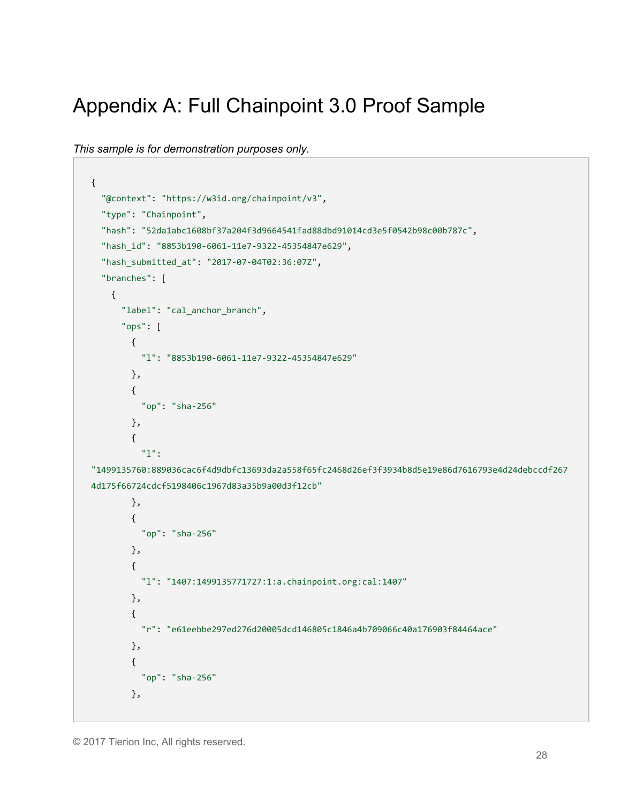# <span id="page-27-0"></span>Appendix A: Full Chainpoint 3.0 Proof Sample

```
This sample is for demonstration purposes only.
```

```
{
   "@context": "https://w3id.org/chainpoint/v3",
   "type": "Chainpoint",
   "hash": "52da1abc1608bf37a204f3d9664541fad88dbd91014cd3e5f0542b98c00b787c",
   "hash_id": "8853b190-6061-11e7-9322-45354847e629",
   "hash_submitted_at": "2017-07-04T02:36:07Z",
   "branches": [
     {
       "label": "cal_anchor_branch",
       "ops": [
         {
           "l": "8853b190-6061-11e7-9322-45354847e629"
         },
         {
           "op": "sha-256"
         },
         {
           "l":
"1499135760:889036cac6f4d9dbfc13693da2a558f65fc2468d26ef3f3934b8d5e19e86d7616793e4d24debccdf267
4d175f66724cdcf5198406c1967d83a35b9a00d3f12cb"
         },
         {
           "op": "sha-256"
         },
         {
           "l": "1407:1499135771727:1:a.chainpoint.org:cal:1407"
         },
         {
           "r": "e61eebbe297ed276d20005dcd146805c1846a4b709066c40a176903f84464ace"
         },
\overline{\mathcal{L}} "op": "sha-256"
         },
```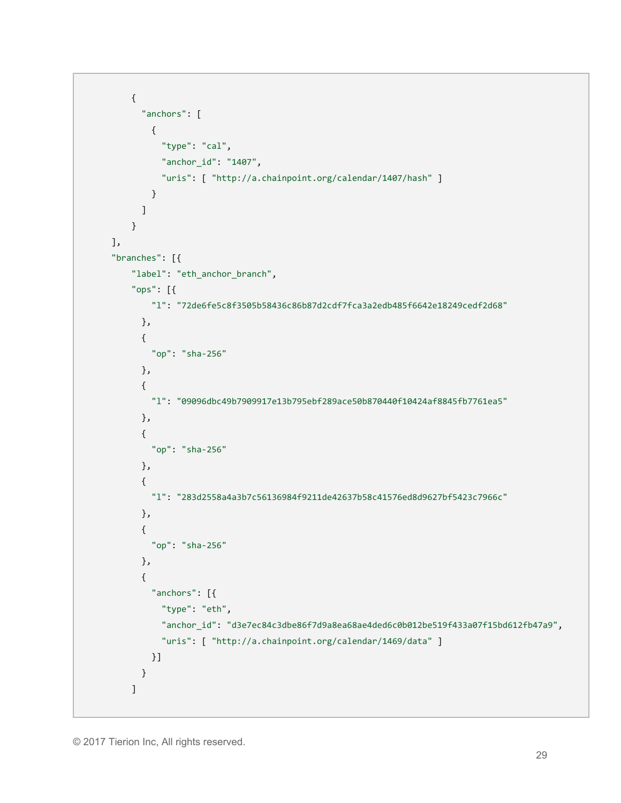```
 {
       "anchors": [
         {
            "type": "cal",
           "anchor_id": "1407",
           "uris": [ "http://a.chainpoint.org/calendar/1407/hash" ]
         }
       ]
     }
 ],
 "branches": [{
     "label": "eth_anchor_branch",
     "ops": [{
         "l": "72de6fe5c8f3505b58436c86b87d2cdf7fca3a2edb485f6642e18249cedf2d68"
       },
       {
         "op": "sha-256"
       },
       {
         "l": "09096dbc49b7909917e13b795ebf289ace50b870440f10424af8845fb7761ea5"
       },
       {
         "op": "sha-256"
       },
       {
         "l": "283d2558a4a3b7c56136984f9211de42637b58c41576ed8d9627bf5423c7966c"
       },
       {
         "op": "sha-256"
       },
       {
         "anchors": [{
           "type": "eth",
           "anchor_id": "d3e7ec84c3dbe86f7d9a8ea68ae4ded6c0b012be519f433a07f15bd612fb47a9",
           "uris": [ "http://a.chainpoint.org/calendar/1469/data" ]
         }]
       }
     ]
```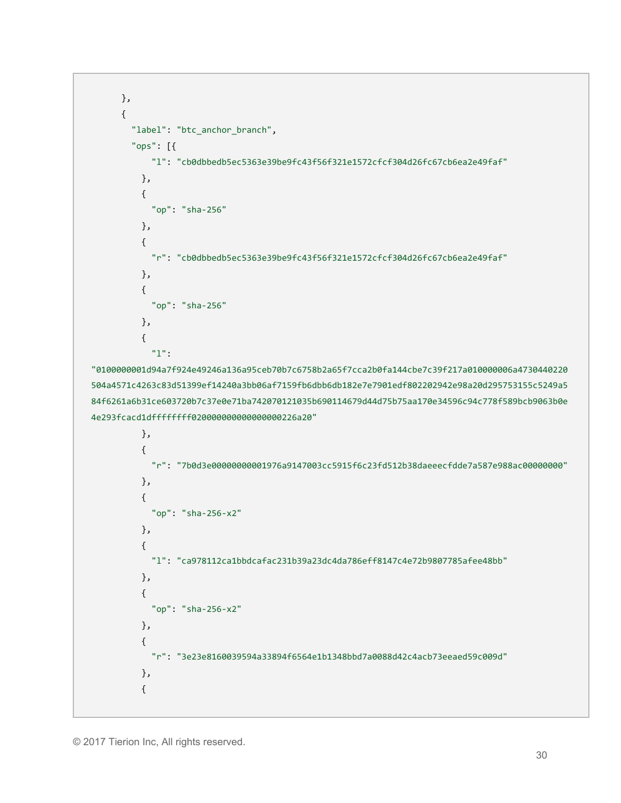```
 },
       {
         "label": "btc_anchor_branch",
         "ops": [{
             "l": "cb0dbbedb5ec5363e39be9fc43f56f321e1572cfcf304d26fc67cb6ea2e49faf"
           },
           {
             "op": "sha-256"
           },
           {
             "r": "cb0dbbedb5ec5363e39be9fc43f56f321e1572cfcf304d26fc67cb6ea2e49faf"
           },
           {
             "op": "sha-256"
           },
           {
             "l":
"0100000001d94a7f924e49246a136a95ceb70b7c6758b2a65f7cca2b0fa144cbe7c39f217a010000006a4730440220
504a4571c4263c83d51399ef14240a3bb06af7159fb6dbb6db182e7e7901edf802202942e98a20d295753155c5249a5
84f6261a6b31ce603720b7c37e0e71ba742070121035b690114679d44d75b75aa170e34596c94c778f589bcb9063b0e
4e293fcacd1dffffffff020000000000000000226a20"
           },
           {
             "r": "7b0d3e00000000001976a9147003cc5915f6c23fd512b38daeeecfdde7a587e988ac00000000"
           },
           {
             "op": "sha-256-x2"
           },
           {
             "l": "ca978112ca1bbdcafac231b39a23dc4da786eff8147c4e72b9807785afee48bb"
           },
           {
             "op": "sha-256-x2"
           },
           {
             "r": "3e23e8160039594a33894f6564e1b1348bbd7a0088d42c4acb73eeaed59c009d"
           },
           {
```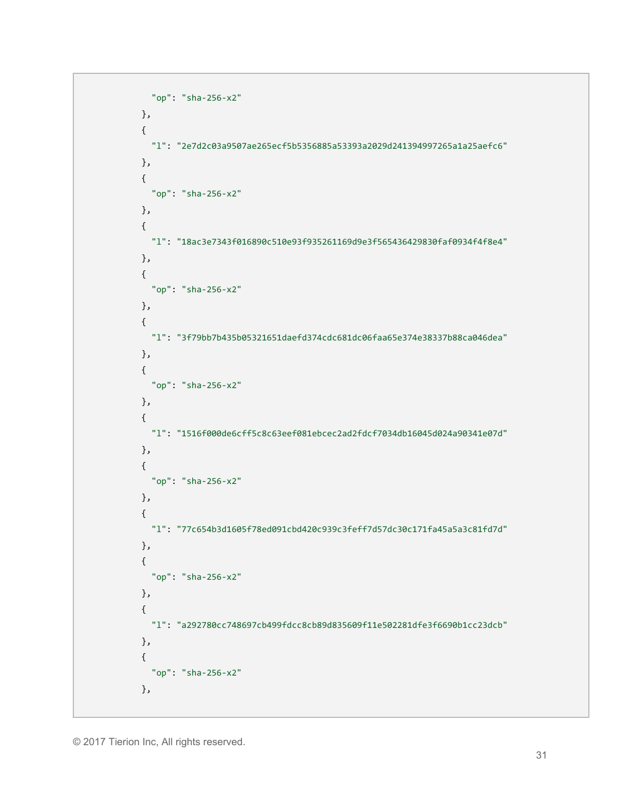```
 "op": "sha-256-x2"
 },
 {
   "l": "2e7d2c03a9507ae265ecf5b5356885a53393a2029d241394997265a1a25aefc6"
 },
 {
   "op": "sha-256-x2"
 },
 {
   "l": "18ac3e7343f016890c510e93f935261169d9e3f565436429830faf0934f4f8e4"
 },
 {
   "op": "sha-256-x2"
 },
 {
   "l": "3f79bb7b435b05321651daefd374cdc681dc06faa65e374e38337b88ca046dea"
 },
 {
   "op": "sha-256-x2"
 },
 {
  "l": "1516f000de6cff5c8c63eef081ebcec2ad2fdcf7034db16045d024a90341e07d"
 },
 {
   "op": "sha-256-x2"
 },
 {
   "l": "77c654b3d1605f78ed091cbd420c939c3feff7d57dc30c171fa45a5a3c81fd7d"
 },
 {
   "op": "sha-256-x2"
 },
 {
  "l": "a292780cc748697cb499fdcc8cb89d835609f11e502281dfe3f6690b1cc23dcb"
 },
 {
   "op": "sha-256-x2"
 },
```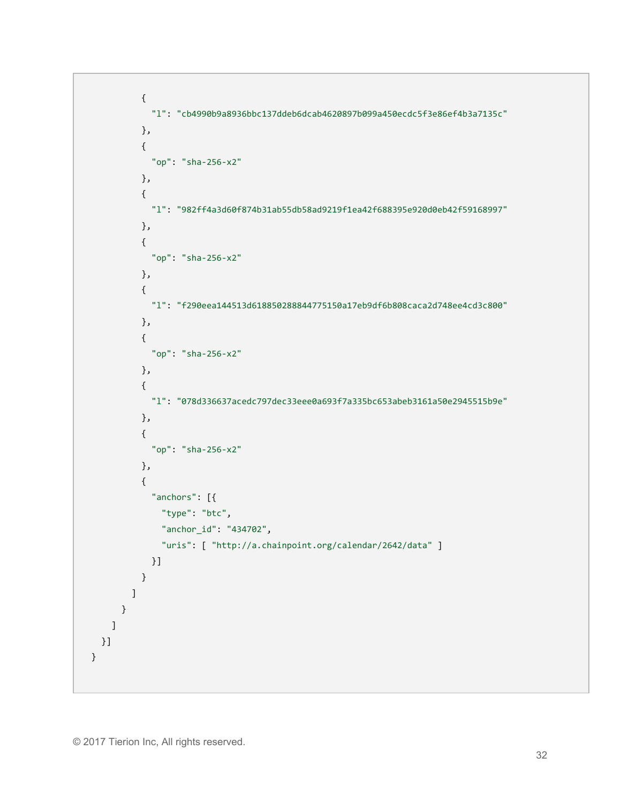```
 {
            "l": "cb4990b9a8936bbc137ddeb6dcab4620897b099a450ecdc5f3e86ef4b3a7135c"
         },
         {
            "op": "sha-256-x2"
         },
         {
            "l": "982ff4a3d60f874b31ab55db58ad9219f1ea42f688395e920d0eb42f59168997"
         },
          {
            "op": "sha-256-x2"
         },
         {
            "l": "f290eea144513d618850288844775150a17eb9df6b808caca2d748ee4cd3c800"
         },
         {
            "op": "sha-256-x2"
         },
          {
            "l": "078d336637acedc797dec33eee0a693f7a335bc653abeb3161a50e2945515b9e"
         },
          {
            "op": "sha-256-x2"
         },
         {
            "anchors": [{
              "type": "btc",
              "anchor_id": "434702",
              "uris": [ "http://a.chainpoint.org/calendar/2642/data" ]
            }]
         }
       ]
     }
   ]
 }]
```
}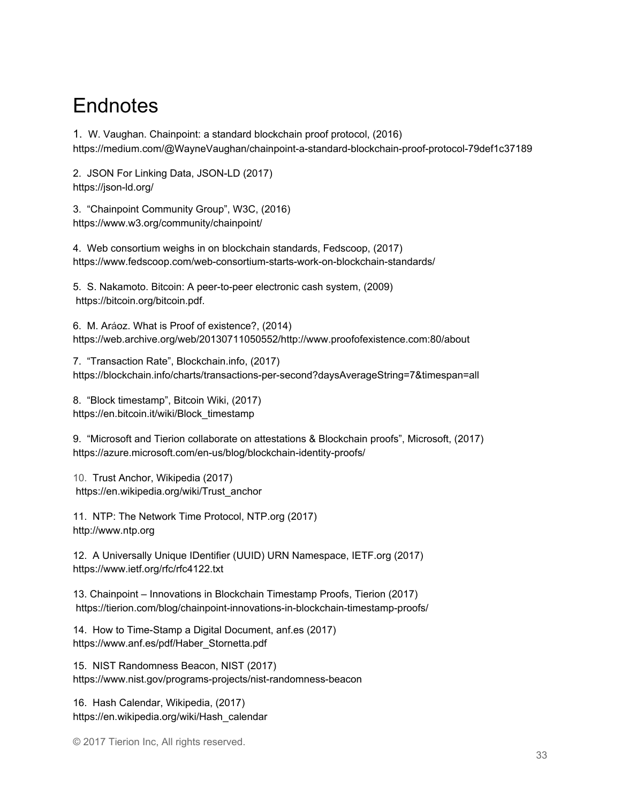# **Endnotes**

1. W. Vaughan. Chainpoint: a standard blockchain proof protocol, (2016) https://medium.com/@WayneVaughan/chainpoint-a-standard-blockchain-proof-protocol-79def1c37189

2. JSON For Linking Data, JSON-LD (2017) https://json-ld.org/

3. "Chainpoint Community Group", W3C, (2016) https://www.w3.org/community/chainpoint/

4. Web consortium weighs in on blockchain standards, Fedscoop, (2017) https://www.fedscoop.com/web-consortium-starts-work-on-blockchain-standards/

5. S. Nakamoto. Bitcoin: A peer-to-peer electronic cash system, (2009) https://bitcoin.org/bitcoin.pdf.

6. M. Aráoz. What is Proof of existence?, (2014) https://web.archive.org/web/20130711050552/http://www.proofofexistence.com:80/about

7. "Transaction Rate", Blockchain.info, (2017) https://blockchain.info/charts/transactions-per-second?daysAverageString=7&timespan=all

8. "Block timestamp", Bitcoin Wiki, (2017) https://en.bitcoin.it/wiki/Block\_timestamp

9. "Microsoft and Tierion collaborate on attestations & Blockchain proofs", Microsoft, (2017) https://azure.microsoft.com/en-us/blog/blockchain-identity-proofs/

10. Trust Anchor, Wikipedia (2017) https://en.wikipedia.org/wiki/Trust\_anchor

11. NTP: The Network Time Protocol, NTP.org (2017) http://www.ntp.org

12. A Universally Unique IDentifier (UUID) URN Namespace, IETF.org (2017) https://www.ietf.org/rfc/rfc4122.txt

13. Chainpoint – Innovations in Blockchain Timestamp Proofs, Tierion (2017) https://tierion.com/blog/chainpoint-innovations-in-blockchain-timestamp-proofs/

14. How to Time-Stamp a Digital Document, anf.es (2017) https://www.anf.es/pdf/Haber\_Stornetta.pdf

15. NIST Randomness Beacon, NIST (2017) https://www.nist.gov/programs-projects/nist-randomness-beacon

16. Hash Calendar, Wikipedia, (2017) https://en.wikipedia.org/wiki/Hash\_calendar